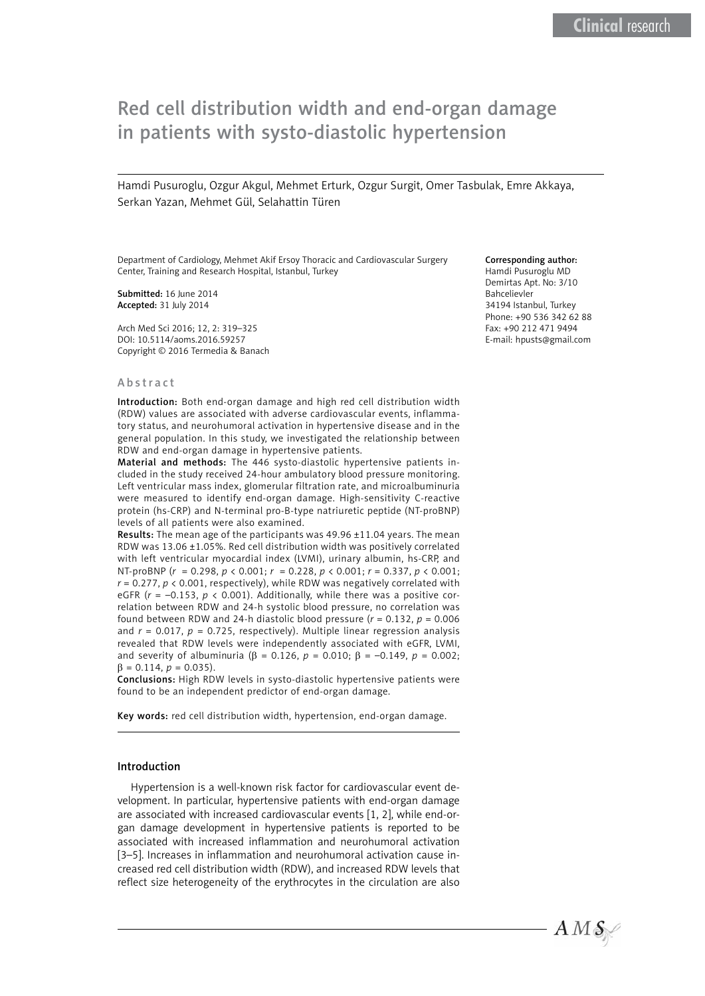# Red cell distribution width and end-organ damage in patients with systo-diastolic hypertension

Hamdi Pusuroglu, Ozgur Akgul, Mehmet Erturk, Ozgur Surgit, Omer Tasbulak, Emre Akkaya, Serkan Yazan, Mehmet Gül, Selahattin Türen

Department of Cardiology, Mehmet Akif Ersoy Thoracic and Cardiovascular Surgery Center, Training and Research Hospital, Istanbul, Turkey

Submitted: 16 June 2014 Accepted: 31 July 2014

Arch Med Sci 2016; 12, 2: 319–325 DOI: 10.5114/aoms.2016.59257 Copyright © 2016 Termedia & Banach

#### Abstract

Introduction: Both end-organ damage and high red cell distribution width (RDW) values are associated with adverse cardiovascular events, inflammatory status, and neurohumoral activation in hypertensive disease and in the general population. In this study, we investigated the relationship between RDW and end-organ damage in hypertensive patients.

Material and methods: The 446 systo-diastolic hypertensive patients included in the study received 24-hour ambulatory blood pressure monitoring. Left ventricular mass index, glomerular filtration rate, and microalbuminuria were measured to identify end-organ damage. High-sensitivity C-reactive protein (hs-CRP) and N-terminal pro-B-type natriuretic peptide (NT-proBNP) levels of all patients were also examined.

Results: The mean age of the participants was 49.96 ±11.04 years. The mean RDW was 13.06 ±1.05%. Red cell distribution width was positively correlated with left ventricular myocardial index (LVMI), urinary albumin, hs-CRP, and NT-proBNP (*r* = 0.298, *p* < 0.001; *r* = 0.228, *p* < 0.001; *r* = 0.337, *p* < 0.001; *r* = 0.277, *p* < 0.001, respectively), while RDW was negatively correlated with eGFR  $(r = -0.153, p < 0.001)$ . Additionally, while there was a positive correlation between RDW and 24-h systolic blood pressure, no correlation was found between RDW and 24-h diastolic blood pressure  $(r = 0.132, p = 0.006$ and  $r = 0.017$ ,  $p = 0.725$ , respectively). Multiple linear regression analysis revealed that RDW levels were independently associated with eGFR, LVMI, and severity of albuminuria (β = 0.126,  $p = 0.010$ ; β = -0.149,  $p = 0.002$ ;  $\beta = 0.114$ ,  $p = 0.035$ ).

Conclusions: High RDW levels in systo-diastolic hypertensive patients were found to be an independent predictor of end-organ damage.

Key words: red cell distribution width, hypertension, end-organ damage.

#### Introduction

Hypertension is a well-known risk factor for cardiovascular event development. In particular, hypertensive patients with end-organ damage are associated with increased cardiovascular events [1, 2], while end-organ damage development in hypertensive patients is reported to be associated with increased inflammation and neurohumoral activation [3–5]. Increases in inflammation and neurohumoral activation cause increased red cell distribution width (RDW), and increased RDW levels that reflect size heterogeneity of the erythrocytes in the circulation are also

#### Corresponding author:

Hamdi Pusuroglu MD Demirtas Apt. No: 3/10 Bahcelievler 34194 Istanbul, Turkey Phone: +90 536 342 62 88 Fax: +90 212 471 9494 E-mail: hpusts@gmail.com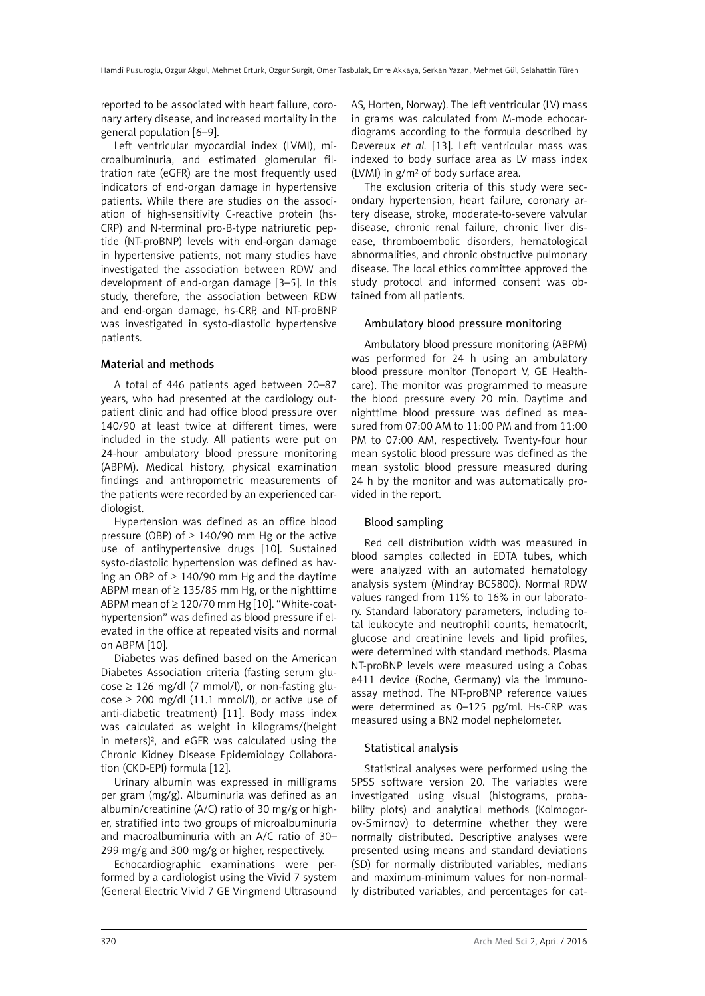reported to be associated with heart failure, coronary artery disease, and increased mortality in the general population [6–9].

Left ventricular myocardial index (LVMI), microalbuminuria, and estimated glomerular filtration rate (eGFR) are the most frequently used indicators of end-organ damage in hypertensive patients. While there are studies on the association of high-sensitivity C-reactive protein (hs-CRP) and N-terminal pro-B-type natriuretic peptide (NT-proBNP) levels with end-organ damage in hypertensive patients, not many studies have investigated the association between RDW and development of end-organ damage [3–5]. In this study, therefore, the association between RDW and end-organ damage, hs-CRP, and NT-proBNP was investigated in systo-diastolic hypertensive patients.

# Material and methods

A total of 446 patients aged between 20–87 years, who had presented at the cardiology outpatient clinic and had office blood pressure over 140/90 at least twice at different times, were included in the study. All patients were put on 24-hour ambulatory blood pressure monitoring (ABPM). Medical history, physical examination findings and anthropometric measurements of the patients were recorded by an experienced cardiologist.

Hypertension was defined as an office blood pressure (OBP) of  $\geq$  140/90 mm Hg or the active use of antihypertensive drugs [10]. Sustained systo-diastolic hypertension was defined as having an OBP of  $\geq$  140/90 mm Hg and the daytime ABPM mean of  $\geq$  135/85 mm Hg, or the nighttime ABPM mean of ≥ 120/70 mm Hg [10]. "White-coathypertension" was defined as blood pressure if elevated in the office at repeated visits and normal on ABPM [10].

Diabetes was defined based on the American Diabetes Association criteria (fasting serum glu- $\cos e \geq 126$  mg/dl (7 mmol/l), or non-fasting glu- $\cos\theta \geq 200$  mg/dl (11.1 mmol/l), or active use of anti-diabetic treatment) [11]. Body mass index was calculated as weight in kilograms/(height in meters)², and eGFR was calculated using the Chronic Kidney Disease Epidemiology Collaboration (CKD-EPI) formula [12].

Urinary albumin was expressed in milligrams per gram (mg/g). Albuminuria was defined as an albumin/creatinine (A/C) ratio of 30 mg/g or higher, stratified into two groups of microalbuminuria and macroalbuminuria with an A/C ratio of 30– 299 mg/g and 300 mg/g or higher, respectively.

Echocardiographic examinations were performed by a cardiologist using the Vivid 7 system (General Electric Vivid 7 GE Vingmend Ultrasound AS, Horten, Norway). The left ventricular (LV) mass in grams was calculated from M-mode echocardiograms according to the formula described by Devereux *et al.* [13]. Left ventricular mass was indexed to body surface area as LV mass index (LVMI) in g/m² of body surface area.

The exclusion criteria of this study were secondary hypertension, heart failure, coronary artery disease, stroke, moderate-to-severe valvular disease, chronic renal failure, chronic liver disease, thromboembolic disorders, hematological abnormalities, and chronic obstructive pulmonary disease. The local ethics committee approved the study protocol and informed consent was obtained from all patients.

# Ambulatory blood pressure monitoring

Ambulatory blood pressure monitoring (ABPM) was performed for 24 h using an ambulatory blood pressure monitor (Tonoport V, GE Healthcare). The monitor was programmed to measure the blood pressure every 20 min. Daytime and nighttime blood pressure was defined as measured from 07:00 AM to 11:00 PM and from 11:00 PM to 07:00 AM, respectively. Twenty-four hour mean systolic blood pressure was defined as the mean systolic blood pressure measured during 24 h by the monitor and was automatically provided in the report.

# Blood sampling

Red cell distribution width was measured in blood samples collected in EDTA tubes, which were analyzed with an automated hematology analysis system (Mindray BC5800). Normal RDW values ranged from 11% to 16% in our laboratory. Standard laboratory parameters, including total leukocyte and neutrophil counts, hematocrit, glucose and creatinine levels and lipid profiles, were determined with standard methods. Plasma NT-proBNP levels were measured using a Cobas e411 device (Roche, Germany) via the immunoassay method. The NT-proBNP reference values were determined as 0–125 pg/ml. Hs-CRP was measured using a BN2 model nephelometer.

# Statistical analysis

Statistical analyses were performed using the SPSS software version 20. The variables were investigated using visual (histograms, probability plots) and analytical methods (Kolmogorov-Smirnov) to determine whether they were normally distributed. Descriptive analyses were presented using means and standard deviations (SD) for normally distributed variables, medians and maximum-minimum values for non-normally distributed variables, and percentages for cat-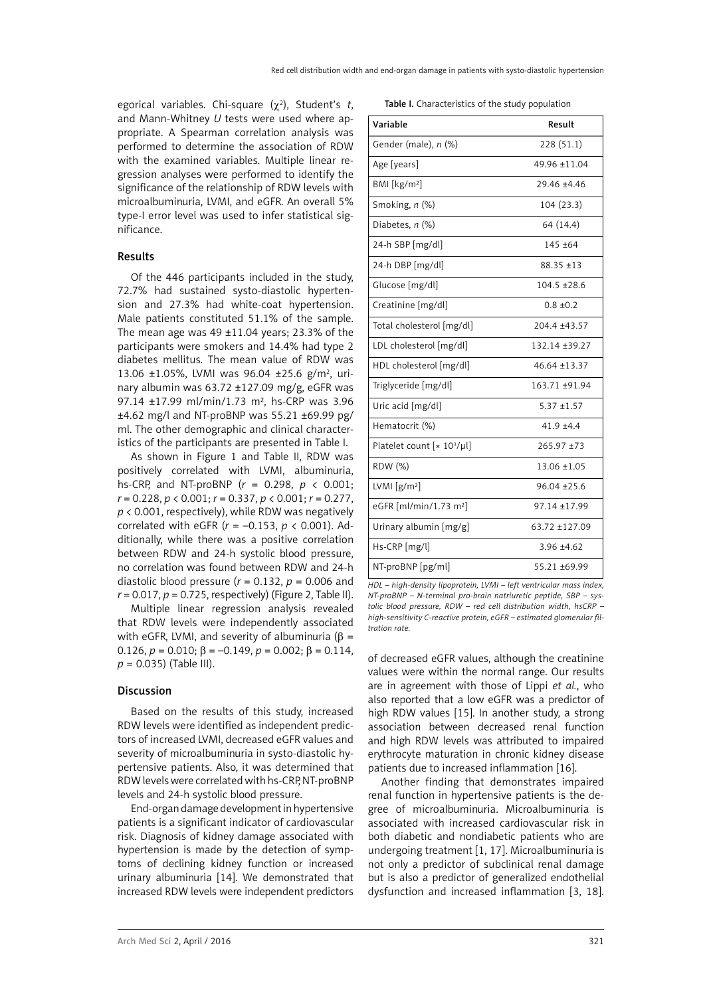egorical variables. Chi-square (χ<sup>2</sup>), Student's *t*, and Mann-Whitney *U* tests were used where appropriate. A Spearman correlation analysis was performed to determine the association of RDW with the examined variables. Multiple linear regression analyses were performed to identify the significance of the relationship of RDW levels with microalbuminuria, LVMI, and eGFR. An overall 5% type-I error level was used to infer statistical significance.

## Results

Of the 446 participants included in the study, 72.7% had sustained systo-diastolic hypertension and 27.3% had white-coat hypertension. Male patients constituted 51.1% of the sample. The mean age was  $49 \pm 11.04$  years; 23.3% of the participants were smokers and 14.4% had type 2 diabetes mellitus. The mean value of RDW was 13.06 ±1.05%, LVMI was 96.04 ±25.6 g/m<sup>2</sup>, urinary albumin was 63.72 ±127.09 mg/g, eGFR was 97.14 ±17.99 ml/min/1.73 m², hs-CRP was 3.96 ±4.62 mg/l and NT-proBNP was 55.21 ±69.99 pg/ ml. The other demographic and clinical characteristics of the participants are presented in Table I.

As shown in Figure 1 and Table II, RDW was positively correlated with LVMI, albuminuria, hs-CRP, and NT-proBNP (*r* = 0.298, *p* < 0.001; *r* = 0.228, *p* < 0.001; *r* = 0.337, *p* < 0.001; *r* = 0.277, *p* < 0.001, respectively), while RDW was negatively correlated with eGFR (*r* = –0.153, *p* < 0.001). Additionally, while there was a positive correlation between RDW and 24-h systolic blood pressure, no correlation was found between RDW and 24-h diastolic blood pressure (*r* = 0.132, *p* = 0.006 and  $r = 0.017$ ,  $p = 0.725$ , respectively) (Figure 2, Table II).

Multiple linear regression analysis revealed that RDW levels were independently associated with eGFR, LVMI, and severity of albuminuria ( $\beta$  = 0.126,  $p = 0.010$ ;  $β = -0.149$ ,  $p = 0.002$ ;  $β = 0.114$ , *p* = 0.035) (Table III).

#### Discussion

Based on the results of this study, increased RDW levels were identified as independent predictors of increased LVMI, decreased eGFR values and severity of microalbuminuria in systo-diastolic hypertensive patients. Also, it was determined that RDW levels were correlated with hs-CRP, NT-proBNP levels and 24-h systolic blood pressure.

End-organ damage development in hypertensive patients is a significant indicator of cardiovascular risk. Diagnosis of kidney damage associated with hypertension is made by the detection of symptoms of declining kidney function or increased urinary albuminuria [14]. We demonstrated that increased RDW levels were independent predictors

Table I. Characteristics of the study population

| Variable                           | Result           |  |  |
|------------------------------------|------------------|--|--|
| Gender (male), n (%)               | 228 (51.1)       |  |  |
| Age [years]                        | 49.96 ±11.04     |  |  |
| BMI [kg/m <sup>2</sup> ]           | 29.46 ±4.46      |  |  |
| Smoking, n (%)                     | 104 (23.3)       |  |  |
| Diabetes, $n$ (%)                  | 64 (14.4)        |  |  |
| 24-h SBP [mg/dl]                   | 145 ±64          |  |  |
| 24-h DBP [mg/dl]                   | $88.35 \pm 13$   |  |  |
| Glucose [mg/dl]                    | $104.5 \pm 28.6$ |  |  |
| Creatinine [mg/dl]                 | $0.8 \pm 0.2$    |  |  |
| Total cholesterol [mg/dl]          | 204.4 ±43.57     |  |  |
| LDL cholesterol [mg/dl]            | 132.14 ±39.27    |  |  |
| HDL cholesterol [mg/dl]            | 46.64 ±13.37     |  |  |
| Triglyceride [mg/dl]               | 163.71 ±91.94    |  |  |
| Uric acid [mg/dl]                  | $5.37 \pm 1.57$  |  |  |
| Hematocrit (%)                     | $41.9 + 4.4$     |  |  |
| Platelet count $[x 10^3/\mu]$      | 265.97 ±73       |  |  |
| RDW (%)                            | 13.06 ±1.05      |  |  |
| LVMI $[g/m^2]$                     | $96.04 \pm 25.6$ |  |  |
| eGFR [ml/min/1.73 m <sup>2</sup> ] | 97.14 ±17.99     |  |  |
| Urinary albumin [mg/g]             | 63.72 ±127.09    |  |  |
| Hs-CRP [mg/l]                      | $3.96 \pm 4.62$  |  |  |
| NT-proBNP [pg/ml]                  | 55.21 ±69.99     |  |  |

*HDL – high-density lipoprotein, LVMI – left ventricular mass index, NT-proBNP – N-terminal pro-brain natriuretic peptide, SBP – systolic blood pressure, RDW – red cell distribution width, hsCRP – high-sensitivity C-reactive protein, eGFR – estimated glomerular filtration rate.*

of decreased eGFR values, although the creatinine values were within the normal range. Our results are in agreement with those of Lippi *et al.*, who also reported that a low eGFR was a predictor of high RDW values [15]. In another study, a strong association between decreased renal function and high RDW levels was attributed to impaired erythrocyte maturation in chronic kidney disease patients due to increased inflammation [16].

Another finding that demonstrates impaired renal function in hypertensive patients is the degree of microalbuminuria. Microalbuminuria is associated with increased cardiovascular risk in both diabetic and nondiabetic patients who are undergoing treatment [1, 17]. Microalbuminuria is not only a predictor of subclinical renal damage but is also a predictor of generalized endothelial dysfunction and increased inflammation [3, 18].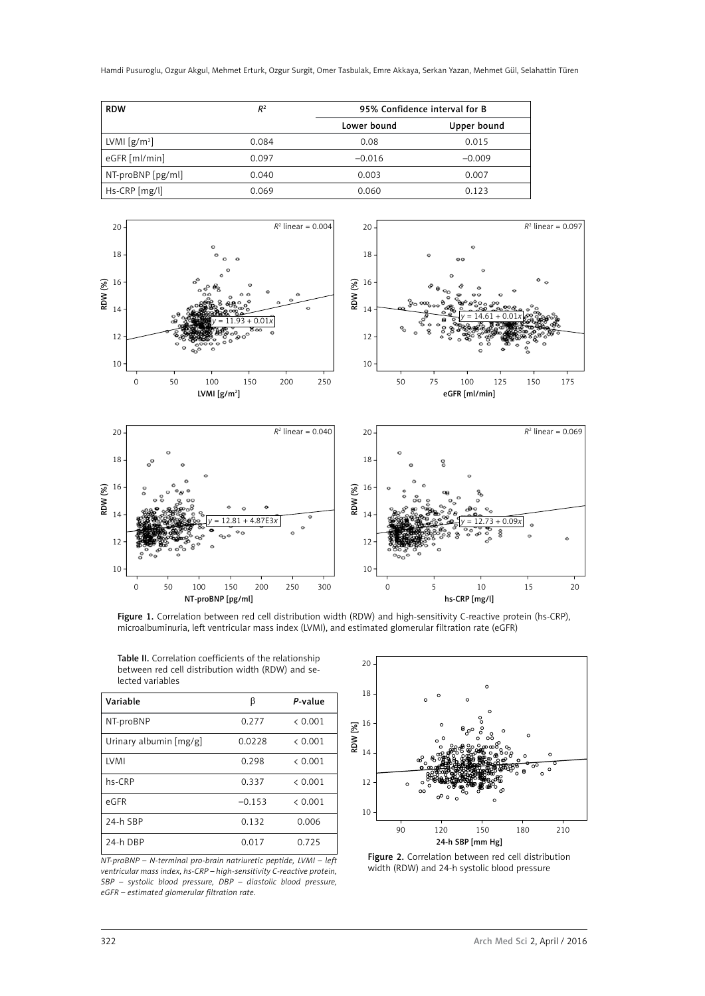Hamdi Pusuroglu, Ozgur Akgul, Mehmet Erturk, Ozgur Surgit, Omer Tasbulak, Emre Akkaya, Serkan Yazan, Mehmet Gül, Selahattin Türen

| <b>RDW</b>                        | R <sup>2</sup> | 95% Confidence interval for B |             |
|-----------------------------------|----------------|-------------------------------|-------------|
|                                   |                | Lower bound                   | Upper bound |
| LVMI $\left[\frac{g}{m^2}\right]$ | 0.084          | 0.08                          | 0.015       |
| eGFR [ml/min]                     | 0.097          | $-0.016$                      | $-0.009$    |
| NT-proBNP [pg/ml]                 | 0.040          | 0.003                         | 0.007       |
| Hs-CRP [mg/l]                     | 0.069          | 0.060                         | 0.123       |



Figure 1. Correlation between red cell distribution width (RDW) and high-sensitivity C-reactive protein (hs-CRP), microalbuminuria, left ventricular mass index (LVMI), and estimated glomerular filtration rate (eGFR)

| <b>Table II.</b> Correlation coefficients of the relationship |  |  |  |  |
|---------------------------------------------------------------|--|--|--|--|
| between red cell distribution width (RDW) and se-             |  |  |  |  |
| lected variables                                              |  |  |  |  |

| Variable               | ß        | P-value |
|------------------------|----------|---------|
| NT-proBNP              | 0.277    | & 0.001 |
| Urinary albumin [mg/g] | 0.0228   | & 0.001 |
| LVMI                   | 0.298    | & 0.001 |
| hs-CRP                 | 0.337    | & 0.001 |
| eGFR                   | $-0.153$ | & 0.001 |
| 24-h SBP               | 0.132    | 0.006   |
| 24-h DBP               | 0.017    | 0.725   |

*NT-proBNP – N-terminal pro-brain natriuretic peptide, LVMI – left ventricular mass index, hs-CRP – high-sensitivity C-reactive protein, SBP – systolic blood pressure, DBP – diastolic blood pressure, eGFR – estimated glomerular filtration rate.*



Figure 2. Correlation between red cell distribution width (RDW) and 24-h systolic blood pressure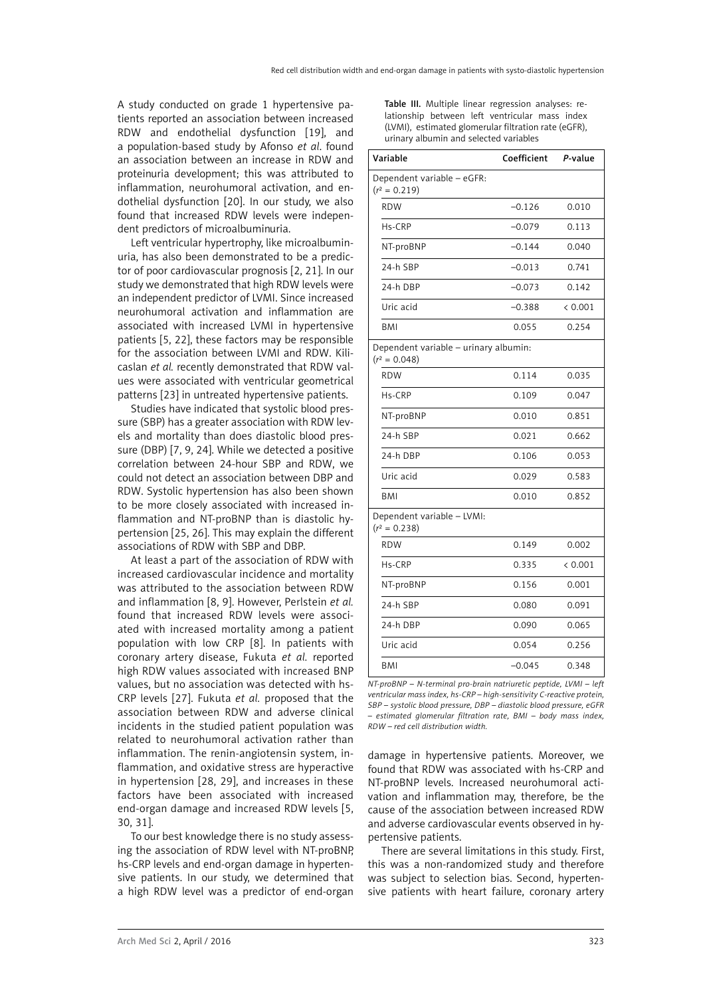A study conducted on grade 1 hypertensive patients reported an association between increased RDW and endothelial dysfunction [19], and a population-based study by Afonso *et al*. found an association between an increase in RDW and proteinuria development; this was attributed to inflammation, neurohumoral activation, and endothelial dysfunction [20]. In our study, we also found that increased RDW levels were independent predictors of microalbuminuria.

Left ventricular hypertrophy, like microalbuminuria, has also been demonstrated to be a predictor of poor cardiovascular prognosis [2, 21]. In our study we demonstrated that high RDW levels were an independent predictor of LVMI. Since increased neurohumoral activation and inflammation are associated with increased LVMI in hypertensive patients [5, 22], these factors may be responsible for the association between LVMI and RDW. Kilicaslan *et al.* recently demonstrated that RDW values were associated with ventricular geometrical patterns [23] in untreated hypertensive patients.

Studies have indicated that systolic blood pressure (SBP) has a greater association with RDW levels and mortality than does diastolic blood pressure (DBP) [7, 9, 24]. While we detected a positive correlation between 24-hour SBP and RDW, we could not detect an association between DBP and RDW. Systolic hypertension has also been shown to be more closely associated with increased inflammation and NT-proBNP than is diastolic hypertension [25, 26]. This may explain the different associations of RDW with SBP and DBP.

At least a part of the association of RDW with increased cardiovascular incidence and mortality was attributed to the association between RDW and inflammation [8, 9]. However, Perlstein *et al.* found that increased RDW levels were associated with increased mortality among a patient population with low CRP [8]. In patients with coronary artery disease, Fukuta *et al.* reported high RDW values associated with increased BNP values, but no association was detected with hs-CRP levels [27]. Fukuta *et al.* proposed that the association between RDW and adverse clinical incidents in the studied patient population was related to neurohumoral activation rather than inflammation. The renin-angiotensin system, inflammation, and oxidative stress are hyperactive in hypertension [28, 29], and increases in these factors have been associated with increased end-organ damage and increased RDW levels [5, 30, 31].

To our best knowledge there is no study assessing the association of RDW level with NT-proBNP, hs-CRP levels and end-organ damage in hypertensive patients. In our study, we determined that a high RDW level was a predictor of end-organ Table III. Multiple linear regression analyses: relationship between left ventricular mass index (LVMI), estimated glomerular filtration rate (eGFR), urinary albumin and selected variables

| Variable                                                 | Coefficient | P-value |
|----------------------------------------------------------|-------------|---------|
| Dependent variable - eGFR:<br>$(r^2 = 0.219)$            |             |         |
| <b>RDW</b>                                               | $-0.126$    | 0.010   |
| Hs-CRP                                                   | $-0.079$    | 0.113   |
| NT-proBNP                                                | $-0.144$    | 0.040   |
| 24-h SBP                                                 | $-0.013$    | 0.741   |
| 24-h DBP                                                 | $-0.073$    | 0.142   |
| Uric acid                                                | $-0.388$    | & 0.001 |
| BMI                                                      | 0.055       | 0.254   |
| Dependent variable - urinary albumin:<br>$(r^2 = 0.048)$ |             |         |
| <b>RDW</b>                                               | 0.114       | 0.035   |
| Hs-CRP                                                   | 0.109       | 0.047   |
| NT-proBNP                                                | 0.010       | 0.851   |
| 24-h SBP                                                 | 0.021       | 0.662   |
| 24-h DBP                                                 | 0.106       | 0.053   |
| Uric acid                                                | 0.029       | 0.583   |
| BMI                                                      | 0.010       | 0.852   |
| Dependent variable - LVMI:<br>$(r^2 = 0.238)$            |             |         |
| <b>RDW</b>                                               | 0.149       | 0.002   |
| Hs-CRP                                                   | 0.335       | < 0.001 |
| NT-proBNP                                                | 0.156       | 0.001   |
| 24-h SBP                                                 | 0.080       | 0.091   |
| 24-h DBP                                                 | 0.090       | 0.065   |
| Uric acid                                                | 0.054       | 0.256   |
| BMI                                                      | $-0.045$    | 0.348   |

*NT-proBNP – N-terminal pro-brain natriuretic peptide, LVMI – left ventricular mass index, hs-CRP – high-sensitivity C-reactive protein, SBP – systolic blood pressure, DBP – diastolic blood pressure, eGFR – estimated glomerular filtration rate, BMI – body mass index, RDW – red cell distribution width.*

damage in hypertensive patients. Moreover, we found that RDW was associated with hs-CRP and NT-proBNP levels. Increased neurohumoral activation and inflammation may, therefore, be the cause of the association between increased RDW and adverse cardiovascular events observed in hypertensive patients.

There are several limitations in this study. First, this was a non-randomized study and therefore was subject to selection bias. Second, hypertensive patients with heart failure, coronary artery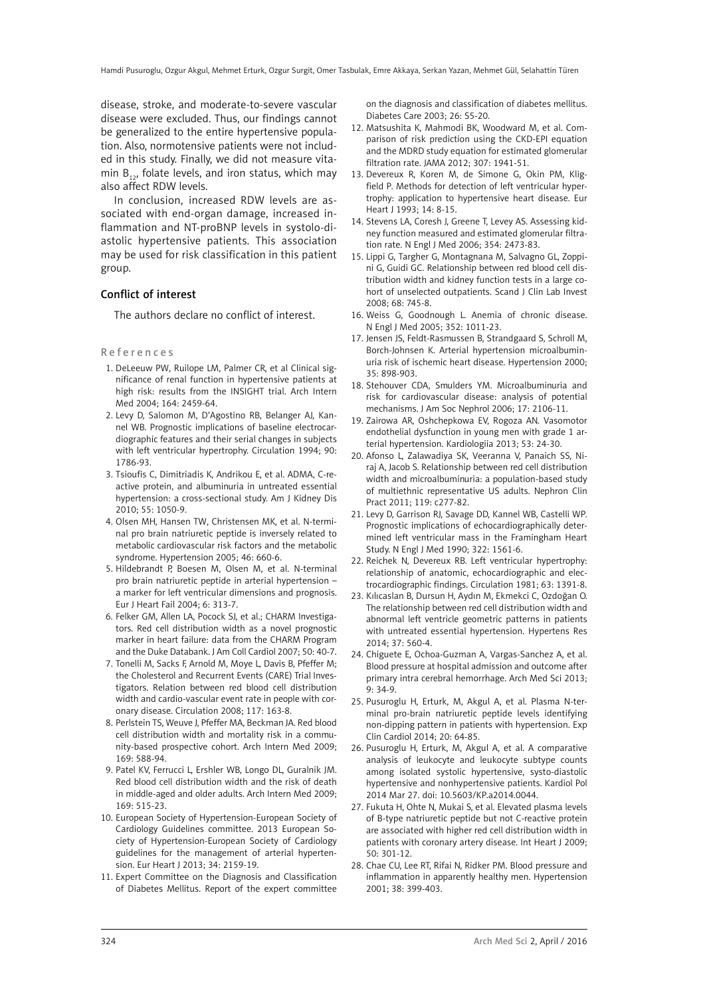disease, stroke, and moderate-to-severe vascular disease were excluded. Thus, our findings cannot be generalized to the entire hypertensive population. Also, normotensive patients were not included in this study. Finally, we did not measure vitamin  $B_{12}$ , folate levels, and iron status, which may also affect RDW levels.

In conclusion, increased RDW levels are associated with end-organ damage, increased inflammation and NT-proBNP levels in systolo-diastolic hypertensive patients. This association may be used for risk classification in this patient group.

### Conflict of interest

The authors declare no conflict of interest.

#### References

- 1. DeLeeuw PW, Ruilope LM, Palmer CR, et al Clinical significance of renal function in hypertensive patients at high risk: results from the INSIGHT trial. Arch Intern Med 2004; 164: 2459-64.
- 2. Levy D, Salomon M, D'Agostino RB, Belanger AJ, Kannel WB. Prognostic implications of baseline electrocardiographic features and their serial changes in subjects with left ventricular hypertrophy. Circulation 1994; 90: 1786-93.
- 3. Tsioufis C, Dimitriadis K, Andrikou E, et al. ADMA, C-reactive protein, and albuminuria in untreated essential hypertension: a cross-sectional study. Am J Kidney Dis 2010; 55: 1050-9.
- 4. Olsen MH, Hansen TW, Christensen MK, et al. N-terminal pro brain natriuretic peptide is inversely related to metabolic cardiovascular risk factors and the metabolic syndrome. Hypertension 2005; 46: 660-6.
- 5. Hildebrandt P, Boesen M, Olsen M, et al. N-terminal pro brain natriuretic peptide in arterial hypertension – a marker for left ventricular dimensions and prognosis. Eur J Heart Fail 2004; 6: 313-7.
- 6. Felker GM, Allen LA, Pocock SJ, et al.; [CHARM Investiga](http://www.ncbi.nlm.nih.gov/pubmed?term=CHARM%20Investigators%5BCorporate%20Author%5D)[tors.](http://www.ncbi.nlm.nih.gov/pubmed?term=CHARM%20Investigators%5BCorporate%20Author%5D) Red cell distribution width as a novel prognostic marker in heart failure: data from the CHARM Program and the Duke Databank. J Am Coll Cardiol 2007; 50: 40-7.
- 7. Tonelli M, Sacks F, Arnold M, Moye L, Davis B, Pfeffer M; the Cholesterol and Recurrent Events (CARE) Trial Investigators. Relation between red blood cell distribution width and cardio-vascular event rate in people with coronary disease. Circulation 2008; 117: 163-8.
- 8. Perlstein TS, Weuve J, Pfeffer MA, Beckman JA. Red blood cell distribution width and mortality risk in a community-based prospective cohort. Arch Intern Med 2009; 169: 588-94.
- 9. Patel KV, Ferrucci L, Ershler WB, Longo DL, Guralnik JM. Red blood cell distribution width and the risk of death in middle-aged and older adults. Arch Intern Med 2009; 169: 515-23.
- 10. European Society of Hypertension-European Society of Cardiology Guidelines committee. 2013 European Society of Hypertension-European Society of Cardiology guidelines for the management of arterial hypertension. Eur Heart J 2013; 34: 2159-19.
- 11. Expert Committee on the Diagnosis and Classification of Diabetes Mellitus. Report of the expert committee

on the diagnosis and classification of diabetes mellitus. Diabetes Care 2003; 26: S5-20.

- 12. Matsushita K, Mahmodi BK, Woodward M, et al. Comparison of risk prediction using the CKD-EPI equation and the MDRD study equation for estimated glomerular filtration rate. JAMA 2012; 307: 1941-51.
- 13. Devereux R, Koren M, de Simone G, Okin PM, Kligfield P. Methods for detection of left ventricular hypertrophy: application to hypertensive heart disease. Eur Heart J 1993; 14: 8-15.
- 14. Stevens LA, Coresh J, Greene T, Levey AS. Assessing kidney function measured and estimated glomerular filtration rate. N Engl J Med 2006; 354: 2473-83.
- 15. Lippi G, Targher G, Montagnana M, Salvagno GL, Zoppini G, Guidi GC. Relationship between red blood cell distribution width and kidney function tests in a large cohort of unselected outpatients. Scand J Clin Lab Invest 2008; 68: 745-8.
- 16. Weiss G, Goodnough L. Anemia of chronic disease. N Engl J Med 2005; 352: 1011-23.
- 17. Jensen JS, Feldt-Rasmussen B, Strandgaard S, Schroll M, Borch-Johnsen K. Arterial hypertension microalbuminuria risk of ischemic heart disease. Hypertension 2000; 35: 898-903.
- 18. Stehouver CDA, Smulders YM. Microalbuminuria and risk for cardiovascular disease: analysis of potential mechanisms. J Am Soc Nephrol 2006; 17: 2106-11.
- 19. Zairowa AR, Oshchepkowa EV, Rogoza AN. Vasomotor endothelial dysfunction in young men with grade 1 arterial hypertension. Kardiologiia 2013; 53: 24-30.
- 20. Afonso L, Zalawadiya SK, Veeranna V, Panaich SS, Niraj A, Jacob S. Relationship between red cell distribution width and microalbuminuria: a population-based study of multiethnic representative US adults. Nephron Clin Pract 2011; 119: c277-82.
- 21. Levy D, Garrison RJ, Savage DD, Kannel WB, Castelli WP. Prognostic implications of echocardiographically determined left ventricular mass in the Framingham Heart Study. N Engl J Med 1990; 322: 1561-6.
- 22. Reichek N, Devereux RB. Left ventricular hypertrophy: relationship of anatomic, echocardiographic and electrocardiographic findings. Circulation 1981; 63: 1391-8.
- 23. Kılıcaslan B, Dursun H, Aydın M, Ekmekci C, Ozdoğan O. The relationship between red cell distribution width and abnormal left ventricle geometric patterns in patients with untreated essential hypertension. Hypertens Res 2014; 37: 560-4.
- 24. Chiguete E, Ochoa-Guzman A, Vargas-Sanchez A, et al. Blood pressure at hospital admission and outcome after primary intra cerebral hemorrhage. Arch Med Sci 2013; 9: 34-9.
- 25. Pusuroglu H, Erturk, M, Akgul A, et al. Plasma N-terminal pro-brain natriuretic peptide levels identifying non-dipping pattern in patients with hypertension. Exp Clin Cardiol 2014; 20: 64-85.
- 26. Pusuroglu H, Erturk, M, Akgul A, et al. A comparative analysis of leukocyte and leukocyte subtype counts among isolated systolic hypertensive, systo-diastolic hypertensive and nonhypertensive patients. [Kardiol Pol](http://www.ncbi.nlm.nih.gov/pubmed/24526559) 2014 Mar 27. doi: 10.5603/KP.a2014.0044.
- 27. Fukuta H, Ohte N, Mukai S, et al. Elevated plasma levels of B-type natriuretic peptide but not C-reactive protein are associated with higher red cell distribution width in patients with coronary artery disease. Int Heart J 2009; 50: 301-12.
- 28. Chae CU, Lee RT, Rifai N, Ridker PM. Blood pressure and inflammation in apparently healthy men. Hypertension 2001; 38: 399-403.